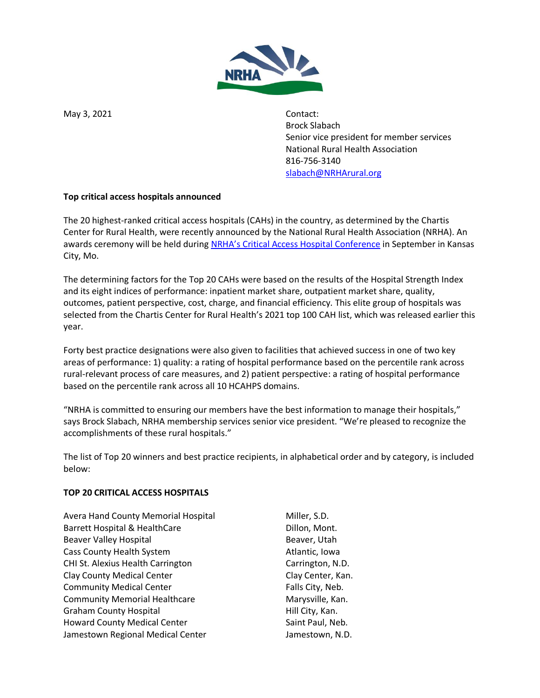

May 3, 2021 **Contact:** 

Brock Slabach Senior vice president for member services National Rural Health Association 816-756-3140 [slabach@NRHArural.org](mailto:slabach@NRHArural.org)

# **Top critical access hospitals announced**

The 20 highest-ranked critical access hospitals (CAHs) in the country, as determined by the Chartis Center for Rural Health, were recently announced by the National Rural Health Association (NRHA). An awards ceremony will be held during [NRHA's Critical Access Hospit](https://www.ruralhealthweb.org/events/event-details?eventId=24&utm_source=website&utm_medium=pressrelease&utm_campaign=CAH&utm_term=21)al Conference in September in Kansas City, Mo.

The determining factors for the Top 20 CAHs were based on the results of the Hospital Strength Index and its eight indices of performance: inpatient market share, outpatient market share, quality, outcomes, patient perspective, cost, charge, and financial efficiency. This elite group of hospitals was selected from the Chartis Center for Rural Health's 2021 top 100 CAH list, which was released earlier this year.

Forty best practice designations were also given to facilities that achieved success in one of two key areas of performance: 1) quality: a rating of hospital performance based on the percentile rank across rural-relevant process of care measures, and 2) patient perspective: a rating of hospital performance based on the percentile rank across all 10 HCAHPS domains.

"NRHA is committed to ensuring our members have the best information to manage their hospitals," says Brock Slabach, NRHA membership services senior vice president. "We're pleased to recognize the accomplishments of these rural hospitals."

The list of Top 20 winners and best practice recipients, in alphabetical order and by category, is included below:

## **TOP 20 CRITICAL ACCESS HOSPITALS**

Avera Hand County Memorial Hospital Miller, S.D. Barrett Hospital & HealthCare Dillon, Mont. Beaver Valley Hospital and Beaver, Utah Cass County Health System **Atlantic**, Iowa CHI St. Alexius Health Carrington Carrington, N.D. Clay County Medical Center Clay Clay Center, Kan. Community Medical Center Falls City, Neb. Community Memorial Healthcare Marysville, Kan. Graham County Hospital **Hill City**, Kan. Howard County Medical Center Saint Paul, Neb. Jamestown Regional Medical Center **Fig. 2018** Jamestown, N.D.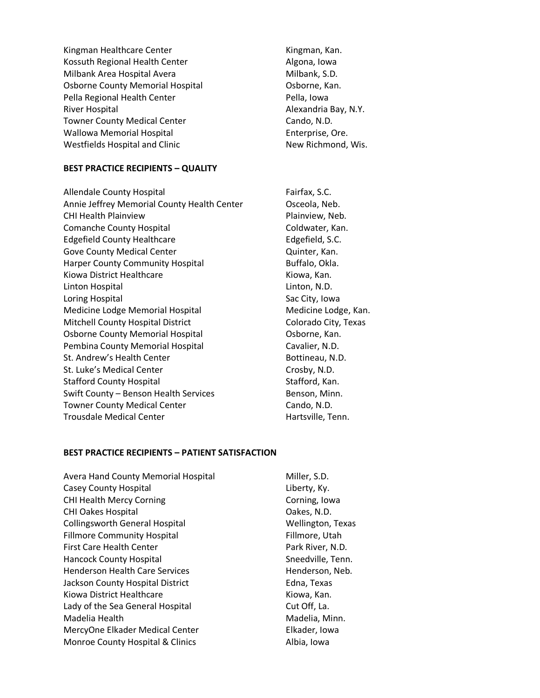Kingman Healthcare Center Kingman, Kan. Kossuth Regional Health Center **Algona**, Iowa Milbank Area Hospital Avera Milbank, S.D. Osborne County Memorial Hospital **Communist Constant Contract Constant** Cosborne, Kan. Pella Regional Health Center **Pella**, Iowa River Hospital Alexandria Bay, N.Y. Towner County Medical Center Cando, N.D. Wallowa Memorial Hospital **Enterprise**, Ore. Westfields Hospital and Clinic New Richmond, Wis.

#### **BEST PRACTICE RECIPIENTS – QUALITY**

Allendale County Hospital **Fairfax, S.C.** Fairfax, S.C. Annie Jeffrey Memorial County Health Center **Canadia**, Neb. CHI Health Plainview **Plainting CHI Health Plainview**, Neb. Comanche County Hospital Comanche County Hospital Coldwater, Kan. Edgefield County Healthcare Edgefield, S.C. Gove County Medical Center **Contains Counter** Quinter, Kan. Harper County Community Hospital Buffalo, Okla. Kiowa District Healthcare Kiowa, Kan. Linton Hospital Linton, N.D. Loring Hospital **Sac City**, Iowa Medicine Lodge Memorial Hospital Medicine Lodge, Kan. Mitchell County Hospital District Colorado City, Texas Osborne County Memorial Hospital **Communist Constant Contract Constant** Cosborne, Kan. Pembina County Memorial Hospital Cavalier, N.D. St. Andrew's Health Center **Bottineau**, N.D. St. Luke's Medical Center Crosby, N.D. Stafford County Hospital Stafford, Kan. Swift County – Benson Health Services Benson, Minn. Towner County Medical Center Cannon Cando, N.D. Trousdale Medical Center **Hartsville**, Tenn.

#### **BEST PRACTICE RECIPIENTS – PATIENT SATISFACTION**

Avera Hand County Memorial Hospital Miller, S.D. Casey County Hospital **Liberty, Ky.** Casey County Hospital CHI Health Mercy Corning CHI Health Mercy Corning Corning, Iowa CHI Oakes Hospital **CHI Oakes, N.D.** Collingsworth General Hospital Wellington, Texas Fillmore Community Hospital Fillmore, Utah First Care Health Center **Park River, N.D.** Park River, N.D. Hancock County Hospital Sneedville, Tenn. Henderson Health Care Services **Henderson**, Neb. Jackson County Hospital District **Edna**, Texas Kiowa District Healthcare **Kiowa, Kan.** Kiowa, Kan. Lady of the Sea General Hospital Cut Off, La. Madelia Health Madelia, Minn. MercyOne Elkader Medical Center **Elkader, Iowa** Monroe County Hospital & Clinics **Albia**, Iowa